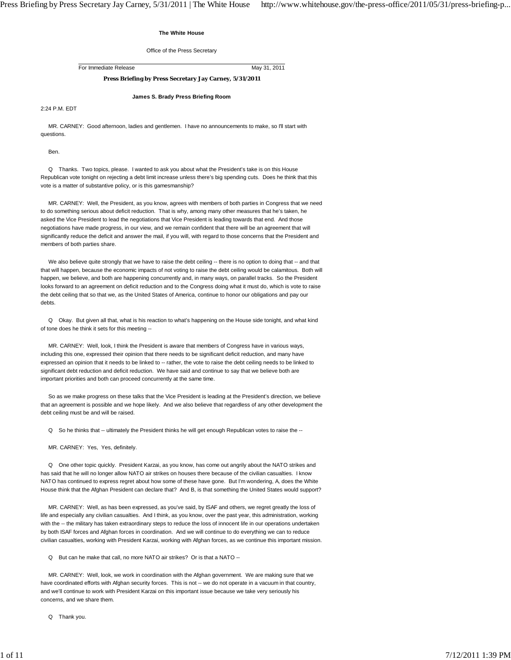## **The White House**

Office of the Press Secretary

For Immediate Release May 31, 2011

# **Press Briefing by Press Secretary Jay Carney, 5/31/2011**

**James S. Brady Press Briefing Room**

2:24 P.M. EDT

 MR. CARNEY: Good afternoon, ladies and gentlemen. I have no announcements to make, so I'll start with questions.

Ben.

 Q Thanks. Two topics, please. I wanted to ask you about what the President's take is on this House Republican vote tonight on rejecting a debt limit increase unless there's big spending cuts. Does he think that this vote is a matter of substantive policy, or is this gamesmanship?

 MR. CARNEY: Well, the President, as you know, agrees with members of both parties in Congress that we need to do something serious about deficit reduction. That is why, among many other measures that he's taken, he asked the Vice President to lead the negotiations that Vice President is leading towards that end. And those negotiations have made progress, in our view, and we remain confident that there will be an agreement that will significantly reduce the deficit and answer the mail, if you will, with regard to those concerns that the President and members of both parties share.

We also believe quite strongly that we have to raise the debt ceiling -- there is no option to doing that -- and that that will happen, because the economic impacts of not voting to raise the debt ceiling would be calamitous. Both will happen, we believe, and both are happening concurrently and, in many ways, on parallel tracks. So the President looks forward to an agreement on deficit reduction and to the Congress doing what it must do, which is vote to raise the debt ceiling that so that we, as the United States of America, continue to honor our obligations and pay our debts.

 Q Okay. But given all that, what is his reaction to what's happening on the House side tonight, and what kind of tone does he think it sets for this meeting --

 MR. CARNEY: Well, look, I think the President is aware that members of Congress have in various ways, including this one, expressed their opinion that there needs to be significant deficit reduction, and many have expressed an opinion that it needs to be linked to -- rather, the vote to raise the debt ceiling needs to be linked to significant debt reduction and deficit reduction. We have said and continue to say that we believe both are important priorities and both can proceed concurrently at the same time.

 So as we make progress on these talks that the Vice President is leading at the President's direction, we believe that an agreement is possible and we hope likely. And we also believe that regardless of any other development the debt ceiling must be and will be raised.

Q So he thinks that -- ultimately the President thinks he will get enough Republican votes to raise the --

MR. CARNEY: Yes, Yes, definitely.

 Q One other topic quickly. President Karzai, as you know, has come out angrily about the NATO strikes and has said that he will no longer allow NATO air strikes on houses there because of the civilian casualties. I know NATO has continued to express regret about how some of these have gone. But I'm wondering, A, does the White House think that the Afghan President can declare that? And B, is that something the United States would support?

 MR. CARNEY: Well, as has been expressed, as you've said, by ISAF and others, we regret greatly the loss of life and especially any civilian casualties. And I think, as you know, over the past year, this administration, working with the -- the military has taken extraordinary steps to reduce the loss of innocent life in our operations undertaken by both ISAF forces and Afghan forces in coordination. And we will continue to do everything we can to reduce civilian casualties, working with President Karzai, working with Afghan forces, as we continue this important mission.

Q But can he make that call, no more NATO air strikes? Or is that a NATO --

 MR. CARNEY: Well, look, we work in coordination with the Afghan government. We are making sure that we have coordinated efforts with Afghan security forces. This is not -- we do not operate in a vacuum in that country, and we'll continue to work with President Karzai on this important issue because we take very seriously his concerns, and we share them.

Q Thank you.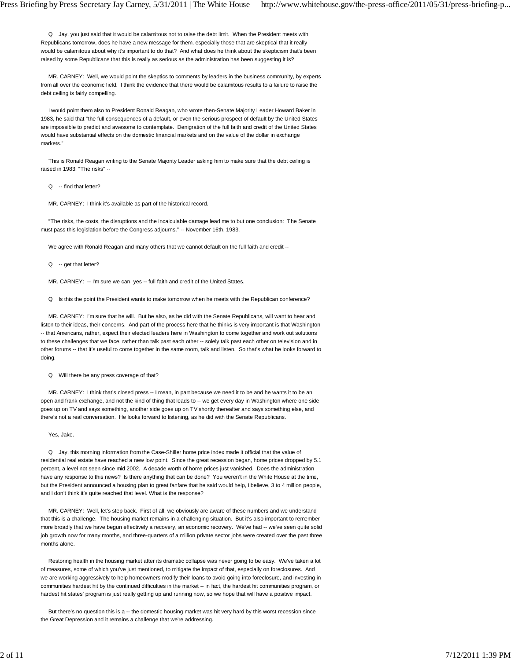Q Jay, you just said that it would be calamitous not to raise the debt limit. When the President meets with Republicans tomorrow, does he have a new message for them, especially those that are skeptical that it really would be calamitous about why it's important to do that? And what does he think about the skepticism that's been raised by some Republicans that this is really as serious as the administration has been suggesting it is?

 MR. CARNEY: Well, we would point the skeptics to comments by leaders in the business community, by experts from all over the economic field. I think the evidence that there would be calamitous results to a failure to raise the debt ceiling is fairly compelling.

 I would point them also to President Ronald Reagan, who wrote then-Senate Majority Leader Howard Baker in 1983, he said that "the full consequences of a default, or even the serious prospect of default by the United States are impossible to predict and awesome to contemplate. Denigration of the full faith and credit of the United States would have substantial effects on the domestic financial markets and on the value of the dollar in exchange markets."

 This is Ronald Reagan writing to the Senate Majority Leader asking him to make sure that the debt ceiling is raised in 1983: "The risks" --

Q -- find that letter?

MR. CARNEY: I think it's available as part of the historical record.

 "The risks, the costs, the disruptions and the incalculable damage lead me to but one conclusion: The Senate must pass this legislation before the Congress adjourns." -- November 16th, 1983.

We agree with Ronald Reagan and many others that we cannot default on the full faith and credit --

Q -- get that letter?

MR. CARNEY: -- I'm sure we can, yes -- full faith and credit of the United States.

Q Is this the point the President wants to make tomorrow when he meets with the Republican conference?

 MR. CARNEY: I'm sure that he will. But he also, as he did with the Senate Republicans, will want to hear and listen to their ideas, their concerns. And part of the process here that he thinks is very important is that Washington -- that Americans, rather, expect their elected leaders here in Washington to come together and work out solutions to these challenges that we face, rather than talk past each other -- solely talk past each other on television and in other forums -- that it's useful to come together in the same room, talk and listen. So that's what he looks forward to doing.

Q Will there be any press coverage of that?

 MR. CARNEY: I think that's closed press -- I mean, in part because we need it to be and he wants it to be an open and frank exchange, and not the kind of thing that leads to -- we get every day in Washington where one side goes up on TV and says something, another side goes up on TV shortly thereafter and says something else, and there's not a real conversation. He looks forward to listening, as he did with the Senate Republicans.

Yes, Jake.

 Q Jay, this morning information from the Case-Shiller home price index made it official that the value of residential real estate have reached a new low point. Since the great recession began, home prices dropped by 5.1 percent, a level not seen since mid 2002. A decade worth of home prices just vanished. Does the administration have any response to this news? Is there anything that can be done? You weren't in the White House at the time, but the President announced a housing plan to great fanfare that he said would help, I believe, 3 to 4 million people, and I don't think it's quite reached that level. What is the response?

 MR. CARNEY: Well, let's step back. First of all, we obviously are aware of these numbers and we understand that this is a challenge. The housing market remains in a challenging situation. But it's also important to remember more broadly that we have begun effectively a recovery, an economic recovery. We've had -- we've seen quite solid job growth now for many months, and three-quarters of a million private sector jobs were created over the past three months alone.

 Restoring health in the housing market after its dramatic collapse was never going to be easy. We've taken a lot of measures, some of which you've just mentioned, to mitigate the impact of that, especially on foreclosures. And we are working aggressively to help homeowners modify their loans to avoid going into foreclosure, and investing in communities hardest hit by the continued difficulties in the market -- in fact, the hardest hit communities program, or hardest hit states' program is just really getting up and running now, so we hope that will have a positive impact.

But there's no question this is a -- the domestic housing market was hit very hard by this worst recession since the Great Depression and it remains a challenge that we're addressing.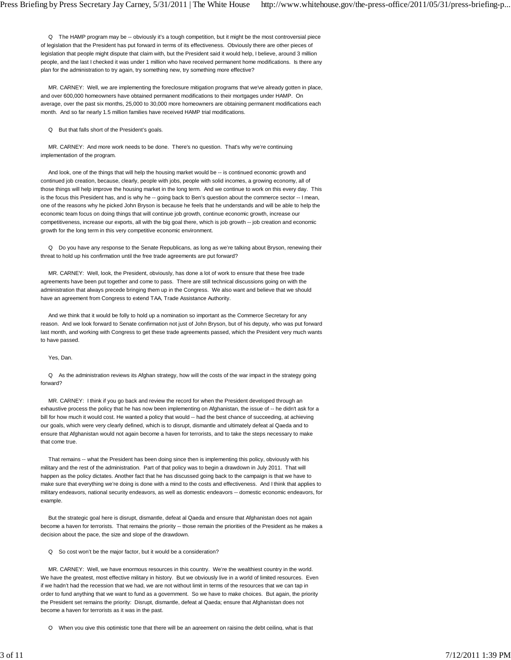Q The HAMP program may be -- obviously it's a tough competition, but it might be the most controversial piece of legislation that the President has put forward in terms of its effectiveness. Obviously there are other pieces of legislation that people might dispute that claim with, but the President said it would help, I believe, around 3 million people, and the last I checked it was under 1 million who have received permanent home modifications. Is there any plan for the administration to try again, try something new, try something more effective?

 MR. CARNEY: Well, we are implementing the foreclosure mitigation programs that we've already gotten in place, and over 600,000 homeowners have obtained permanent modifications to their mortgages under HAMP. On average, over the past six months, 25,000 to 30,000 more homeowners are obtaining permanent modifications each month. And so far nearly 1.5 million families have received HAMP trial modifications.

Q But that falls short of the President's goals.

 MR. CARNEY: And more work needs to be done. There's no question. That's why we're continuing implementation of the program.

And look, one of the things that will help the housing market would be -- is continued economic growth and continued job creation, because, clearly, people with jobs, people with solid incomes, a growing economy, all of those things will help improve the housing market in the long term. And we continue to work on this every day. This is the focus this President has, and is why he -- going back to Ben's question about the commerce sector -- I mean, one of the reasons why he picked John Bryson is because he feels that he understands and will be able to help the economic team focus on doing things that will continue job growth, continue economic growth, increase our competitiveness, increase our exports, all with the big goal there, which is job growth -- job creation and economic growth for the long term in this very competitive economic environment.

 Q Do you have any response to the Senate Republicans, as long as we're talking about Bryson, renewing their threat to hold up his confirmation until the free trade agreements are put forward?

 MR. CARNEY: Well, look, the President, obviously, has done a lot of work to ensure that these free trade agreements have been put together and come to pass. There are still technical discussions going on with the administration that always precede bringing them up in the Congress. We also want and believe that we should have an agreement from Congress to extend TAA, Trade Assistance Authority.

 And we think that it would be folly to hold up a nomination so important as the Commerce Secretary for any reason. And we look forward to Senate confirmation not just of John Bryson, but of his deputy, who was put forward last month, and working with Congress to get these trade agreements passed, which the President very much wants to have passed.

Yes, Dan.

 Q As the administration reviews its Afghan strategy, how will the costs of the war impact in the strategy going forward?

 MR. CARNEY: I think if you go back and review the record for when the President developed through an exhaustive process the policy that he has now been implementing on Afghanistan, the issue of -- he didn't ask for a bill for how much it would cost. He wanted a policy that would -- had the best chance of succeeding, at achieving our goals, which were very clearly defined, which is to disrupt, dismantle and ultimately defeat al Qaeda and to ensure that Afghanistan would not again become a haven for terrorists, and to take the steps necessary to make that come true.

 That remains -- what the President has been doing since then is implementing this policy, obviously with his military and the rest of the administration. Part of that policy was to begin a drawdown in July 2011. That will happen as the policy dictates. Another fact that he has discussed going back to the campaign is that we have to make sure that everything we're doing is done with a mind to the costs and effectiveness. And I think that applies to military endeavors, national security endeavors, as well as domestic endeavors -- domestic economic endeavors, for example.

 But the strategic goal here is disrupt, dismantle, defeat al Qaeda and ensure that Afghanistan does not again become a haven for terrorists. That remains the priority -- those remain the priorities of the President as he makes a decision about the pace, the size and slope of the drawdown.

Q So cost won't be the major factor, but it would be a consideration?

 MR. CARNEY: Well, we have enormous resources in this country. We're the wealthiest country in the world. We have the greatest, most effective military in history. But we obviously live in a world of limited resources. Even if we hadn't had the recession that we had, we are not without limit in terms of the resources that we can tap in order to fund anything that we want to fund as a government. So we have to make choices. But again, the priority the President set remains the priority: Disrupt, dismantle, defeat al Qaeda; ensure that Afghanistan does not become a haven for terrorists as it was in the past.

Q When you give this optimistic tone that there will be an agreement on raising the debt ceiling, what is that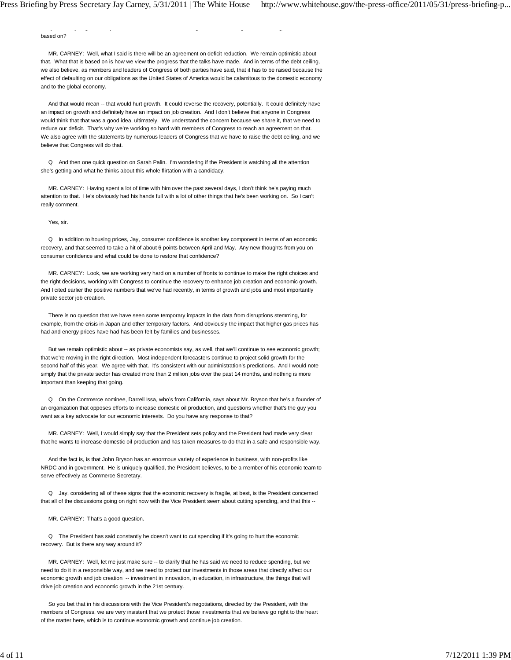based on?

 MR. CARNEY: Well, what I said is there will be an agreement on deficit reduction. We remain optimistic about that. What that is based on is how we view the progress that the talks have made. And in terms of the debt ceiling, we also believe, as members and leaders of Congress of both parties have said, that it has to be raised because the effect of defaulting on our obligations as the United States of America would be calamitous to the domestic economy and to the global economy.

Q yg p g g g,

 And that would mean -- that would hurt growth. It could reverse the recovery, potentially. It could definitely have an impact on growth and definitely have an impact on job creation. And I don't believe that anyone in Congress would think that that was a good idea, ultimately. We understand the concern because we share it, that we need to reduce our deficit. That's why we're working so hard with members of Congress to reach an agreement on that. We also agree with the statements by numerous leaders of Congress that we have to raise the debt ceiling, and we believe that Congress will do that.

 Q And then one quick question on Sarah Palin. I'm wondering if the President is watching all the attention she's getting and what he thinks about this whole flirtation with a candidacy.

 MR. CARNEY: Having spent a lot of time with him over the past several days, I don't think he's paying much attention to that. He's obviously had his hands full with a lot of other things that he's been working on. So I can't really comment.

Yes, sir.

 Q In addition to housing prices, Jay, consumer confidence is another key component in terms of an economic recovery, and that seemed to take a hit of about 6 points between April and May. Any new thoughts from you on consumer confidence and what could be done to restore that confidence?

 MR. CARNEY: Look, we are working very hard on a number of fronts to continue to make the right choices and the right decisions, working with Congress to continue the recovery to enhance job creation and economic growth. And I cited earlier the positive numbers that we've had recently, in terms of growth and jobs and most importantly private sector job creation.

 There is no question that we have seen some temporary impacts in the data from disruptions stemming, for example, from the crisis in Japan and other temporary factors. And obviously the impact that higher gas prices has had and energy prices have had has been felt by families and businesses.

But we remain optimistic about -- as private economists say, as well, that we'll continue to see economic growth; that we're moving in the right direction. Most independent forecasters continue to project solid growth for the second half of this year. We agree with that. It's consistent with our administration's predictions. And I would note simply that the private sector has created more than 2 million jobs over the past 14 months, and nothing is more important than keeping that going.

 Q On the Commerce nominee, Darrell Issa, who's from California, says about Mr. Bryson that he's a founder of an organization that opposes efforts to increase domestic oil production, and questions whether that's the guy you want as a key advocate for our economic interests. Do you have any response to that?

 MR. CARNEY: Well, I would simply say that the President sets policy and the President had made very clear that he wants to increase domestic oil production and has taken measures to do that in a safe and responsible way.

 And the fact is, is that John Bryson has an enormous variety of experience in business, with non-profits like NRDC and in government. He is uniquely qualified, the President believes, to be a member of his economic team to serve effectively as Commerce Secretary.

 Q Jay, considering all of these signs that the economic recovery is fragile, at best, is the President concerned that all of the discussions going on right now with the Vice President seem about cutting spending, and that this --

MR. CARNEY: That's a good question.

 Q The President has said constantly he doesn't want to cut spending if it's going to hurt the economic recovery. But is there any way around it?

MR. CARNEY: Well, let me just make sure -- to clarify that he has said we need to reduce spending, but we need to do it in a responsible way, and we need to protect our investments in those areas that directly affect our economic growth and job creation -- investment in innovation, in education, in infrastructure, the things that will drive job creation and economic growth in the 21st century.

 So you bet that in his discussions with the Vice President's negotiations, directed by the President, with the members of Congress, we are very insistent that we protect those investments that we believe go right to the heart of the matter here, which is to continue economic growth and continue job creation.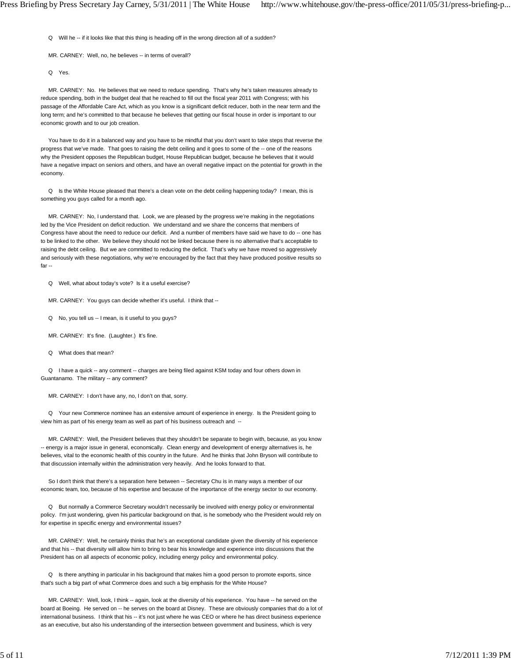Q Will he -- if it looks like that this thing is heading off in the wrong direction all of a sudden?

MR. CARNEY: Well, no, he believes -- in terms of overall?

Q Yes.

 MR. CARNEY: No. He believes that we need to reduce spending. That's why he's taken measures already to reduce spending, both in the budget deal that he reached to fill out the fiscal year 2011 with Congress; with his passage of the Affordable Care Act, which as you know is a significant deficit reducer, both in the near term and the long term; and he's committed to that because he believes that getting our fiscal house in order is important to our economic growth and to our job creation.

 You have to do it in a balanced way and you have to be mindful that you don't want to take steps that reverse the progress that we've made. That goes to raising the debt ceiling and it goes to some of the -- one of the reasons why the President opposes the Republican budget, House Republican budget, because he believes that it would have a negative impact on seniors and others, and have an overall negative impact on the potential for growth in the economy.

 Q Is the White House pleased that there's a clean vote on the debt ceiling happening today? I mean, this is something you guys called for a month ago.

 MR. CARNEY: No, I understand that. Look, we are pleased by the progress we're making in the negotiations led by the Vice President on deficit reduction. We understand and we share the concerns that members of Congress have about the need to reduce our deficit. And a number of members have said we have to do -- one has to be linked to the other. We believe they should not be linked because there is no alternative that's acceptable to raising the debt ceiling. But we are committed to reducing the deficit. That's why we have moved so aggressively and seriously with these negotiations, why we're encouraged by the fact that they have produced positive results so far --

Q Well, what about today's vote? Is it a useful exercise?

MR. CARNEY: You guys can decide whether it's useful. I think that --

Q No, you tell us -- I mean, is it useful to you guys?

MR. CARNEY: It's fine. (Laughter.) It's fine.

Q What does that mean?

Q I have a quick -- any comment -- charges are being filed against KSM today and four others down in Guantanamo. The military -- any comment?

MR. CARNEY: I don't have any, no, I don't on that, sorry.

 Q Your new Commerce nominee has an extensive amount of experience in energy. Is the President going to view him as part of his energy team as well as part of his business outreach and --

 MR. CARNEY: Well, the President believes that they shouldn't be separate to begin with, because, as you know -- energy is a major issue in general, economically. Clean energy and development of energy alternatives is, he believes, vital to the economic health of this country in the future. And he thinks that John Bryson will contribute to that discussion internally within the administration very heavily. And he looks forward to that.

 So I don't think that there's a separation here between -- Secretary Chu is in many ways a member of our economic team, too, because of his expertise and because of the importance of the energy sector to our economy.

 Q But normally a Commerce Secretary wouldn't necessarily be involved with energy policy or environmental policy. I'm just wondering, given his particular background on that, is he somebody who the President would rely on for expertise in specific energy and environmental issues?

 MR. CARNEY: Well, he certainly thinks that he's an exceptional candidate given the diversity of his experience and that his -- that diversity will allow him to bring to bear his knowledge and experience into discussions that the President has on all aspects of economic policy, including energy policy and environmental policy.

 Q Is there anything in particular in his background that makes him a good person to promote exports, since that's such a big part of what Commerce does and such a big emphasis for the White House?

MR. CARNEY: Well, look, I think -- again, look at the diversity of his experience. You have -- he served on the board at Boeing. He served on -- he serves on the board at Disney. These are obviously companies that do a lot of international business. I think that his -- it's not just where he was CEO or where he has direct business experience as an executive, but also his understanding of the intersection between government and business, which is very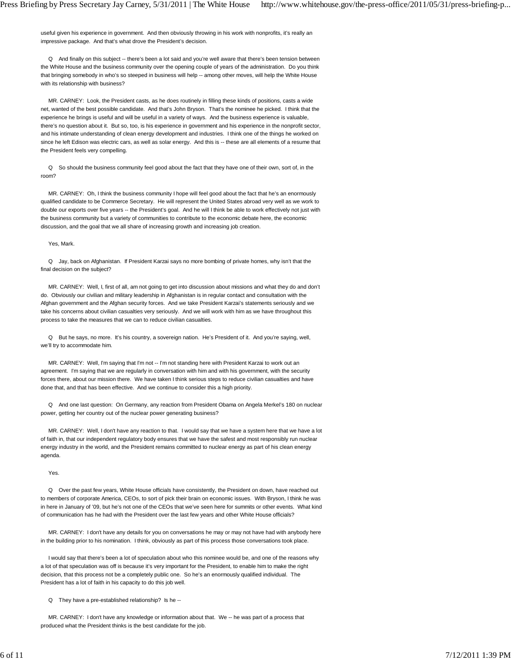useful given his experience in government. And then obviously throwing in his work with nonprofits, it's really an impressive package. And that's what drove the President's decision.

 Q And finally on this subject -- there's been a lot said and you're well aware that there's been tension between the White House and the business community over the opening couple of years of the administration. Do you think that bringing somebody in who's so steeped in business will help -- among other moves, will help the White House with its relationship with business?

 MR. CARNEY: Look, the President casts, as he does routinely in filling these kinds of positions, casts a wide net, wanted of the best possible candidate. And that's John Bryson. That's the nominee he picked. I think that the experience he brings is useful and will be useful in a variety of ways. And the business experience is valuable, there's no question about it. But so, too, is his experience in government and his experience in the nonprofit sector, and his intimate understanding of clean energy development and industries. I think one of the things he worked on since he left Edison was electric cars, as well as solar energy. And this is -- these are all elements of a resume that the President feels very compelling.

 Q So should the business community feel good about the fact that they have one of their own, sort of, in the room?

 MR. CARNEY: Oh, I think the business community I hope will feel good about the fact that he's an enormously qualified candidate to be Commerce Secretary. He will represent the United States abroad very well as we work to double our exports over five years -- the President's goal. And he will I think be able to work effectively not just with the business community but a variety of communities to contribute to the economic debate here, the economic discussion, and the goal that we all share of increasing growth and increasing job creation.

#### Yes, Mark.

 Q Jay, back on Afghanistan. If President Karzai says no more bombing of private homes, why isn't that the final decision on the subject?

 MR. CARNEY: Well, I, first of all, am not going to get into discussion about missions and what they do and don't do. Obviously our civilian and military leadership in Afghanistan is in regular contact and consultation with the Afghan government and the Afghan security forces. And we take President Karzai's statements seriously and we take his concerns about civilian casualties very seriously. And we will work with him as we have throughout this process to take the measures that we can to reduce civilian casualties.

 Q But he says, no more. It's his country, a sovereign nation. He's President of it. And you're saying, well, we'll try to accommodate him.

MR. CARNEY: Well, I'm saying that I'm not -- I'm not standing here with President Karzai to work out an agreement. I'm saying that we are regularly in conversation with him and with his government, with the security forces there, about our mission there. We have taken I think serious steps to reduce civilian casualties and have done that, and that has been effective. And we continue to consider this a high priority.

 Q And one last question: On Germany, any reaction from President Obama on Angela Merkel's 180 on nuclear power, getting her country out of the nuclear power generating business?

 MR. CARNEY: Well, I don't have any reaction to that. I would say that we have a system here that we have a lot of faith in, that our independent regulatory body ensures that we have the safest and most responsibly run nuclear energy industry in the world, and the President remains committed to nuclear energy as part of his clean energy agenda.

### Yes.

 Q Over the past few years, White House officials have consistently, the President on down, have reached out to members of corporate America, CEOs, to sort of pick their brain on economic issues. With Bryson, I think he was in here in January of '09, but he's not one of the CEOs that we've seen here for summits or other events. What kind of communication has he had with the President over the last few years and other White House officials?

 MR. CARNEY: I don't have any details for you on conversations he may or may not have had with anybody here in the building prior to his nomination. I think, obviously as part of this process those conversations took place.

 I would say that there's been a lot of speculation about who this nominee would be, and one of the reasons why a lot of that speculation was off is because it's very important for the President, to enable him to make the right decision, that this process not be a completely public one. So he's an enormously qualified individual. The President has a lot of faith in his capacity to do this job well.

Q They have a pre-established relationship? Is he --

 MR. CARNEY: I don't have any knowledge or information about that. We -- he was part of a process that produced what the President thinks is the best candidate for the job.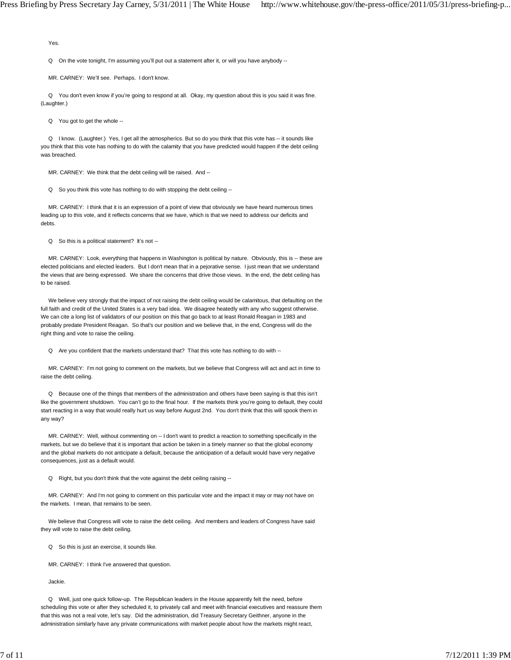Yes.

Q On the vote tonight, I'm assuming you'll put out a statement after it, or will you have anybody --

MR. CARNEY: We'll see. Perhaps. I don't know.

 Q You don't even know if you're going to respond at all. Okay, my question about this is you said it was fine. (Laughter.)

Q You got to get the whole --

Q I know. (Laughter.) Yes, I get all the atmospherics. But so do you think that this vote has -- it sounds like you think that this vote has nothing to do with the calamity that you have predicted would happen if the debt ceiling was breached.

MR. CARNEY: We think that the debt ceiling will be raised. And --

Q So you think this vote has nothing to do with stopping the debt ceiling --

 MR. CARNEY: I think that it is an expression of a point of view that obviously we have heard numerous times leading up to this vote, and it reflects concerns that we have, which is that we need to address our deficits and debts.

Q So this is a political statement? It's not --

 MR. CARNEY: Look, everything that happens in Washington is political by nature. Obviously, this is -- these are elected politicians and elected leaders. But I don't mean that in a pejorative sense. I just mean that we understand the views that are being expressed. We share the concerns that drive those views. In the end, the debt ceiling has to be raised.

 We believe very strongly that the impact of not raising the debt ceiling would be calamitous, that defaulting on the full faith and credit of the United States is a very bad idea. We disagree heatedly with any who suggest otherwise. We can cite a long list of validators of our position on this that go back to at least Ronald Reagan in 1983 and probably predate President Reagan. So that's our position and we believe that, in the end, Congress will do the right thing and vote to raise the ceiling.

Q Are you confident that the markets understand that? That this vote has nothing to do with --

 MR. CARNEY: I'm not going to comment on the markets, but we believe that Congress will act and act in time to raise the debt ceiling.

 Q Because one of the things that members of the administration and others have been saying is that this isn't like the government shutdown. You can't go to the final hour. If the markets think you're going to default, they could start reacting in a way that would really hurt us way before August 2nd. You don't think that this will spook them in any way?

 MR. CARNEY: Well, without commenting on -- I don't want to predict a reaction to something specifically in the markets, but we do believe that it is important that action be taken in a timely manner so that the global economy and the global markets do not anticipate a default, because the anticipation of a default would have very negative consequences, just as a default would.

Q Right, but you don't think that the vote against the debt ceiling raising --

 MR. CARNEY: And I'm not going to comment on this particular vote and the impact it may or may not have on the markets. I mean, that remains to be seen.

 We believe that Congress will vote to raise the debt ceiling. And members and leaders of Congress have said they will vote to raise the debt ceiling.

Q So this is just an exercise, it sounds like.

MR. CARNEY: I think I've answered that question.

Jackie.

 Q Well, just one quick follow-up. The Republican leaders in the House apparently felt the need, before scheduling this vote or after they scheduled it, to privately call and meet with financial executives and reassure them that this was not a real vote, let's say. Did the administration, did Treasury Secretary Geithner, anyone in the administration similarly have any private communications with market people about how the markets might react,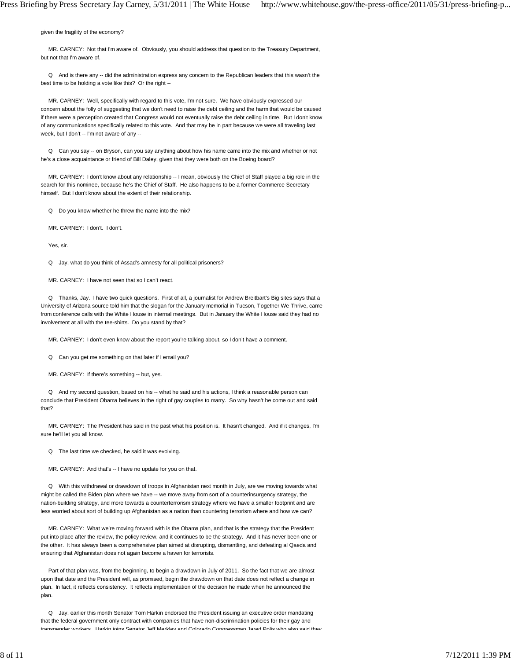given the fragility of the economy?

 MR. CARNEY: Not that I'm aware of. Obviously, you should address that question to the Treasury Department, but not that I'm aware of.

 Q And is there any -- did the administration express any concern to the Republican leaders that this wasn't the best time to be holding a vote like this? Or the right --

 MR. CARNEY: Well, specifically with regard to this vote, I'm not sure. We have obviously expressed our concern about the folly of suggesting that we don't need to raise the debt ceiling and the harm that would be caused if there were a perception created that Congress would not eventually raise the debt ceiling in time. But I don't know of any communications specifically related to this vote. And that may be in part because we were all traveling last week, but I don't -- I'm not aware of any --

 Q Can you say -- on Bryson, can you say anything about how his name came into the mix and whether or not he's a close acquaintance or friend of Bill Daley, given that they were both on the Boeing board?

 MR. CARNEY: I don't know about any relationship -- I mean, obviously the Chief of Staff played a big role in the search for this nominee, because he's the Chief of Staff. He also happens to be a former Commerce Secretary himself. But I don't know about the extent of their relationship.

Q Do you know whether he threw the name into the mix?

MR. CARNEY: I don't. I don't.

Yes, sir.

Q Jay, what do you think of Assad's amnesty for all political prisoners?

MR. CARNEY: I have not seen that so I can't react.

 Q Thanks, Jay. I have two quick questions. First of all, a journalist for Andrew Breitbart's Big sites says that a University of Arizona source told him that the slogan for the January memorial in Tucson, Together We Thrive, came from conference calls with the White House in internal meetings. But in January the White House said they had no involvement at all with the tee-shirts. Do you stand by that?

MR. CARNEY: I don't even know about the report you're talking about, so I don't have a comment.

Q Can you get me something on that later if I email you?

MR. CARNEY: If there's something -- but, yes.

 Q And my second question, based on his -- what he said and his actions, I think a reasonable person can conclude that President Obama believes in the right of gay couples to marry. So why hasn't he come out and said that?

 MR. CARNEY: The President has said in the past what his position is. It hasn't changed. And if it changes, I'm sure he'll let you all know.

Q The last time we checked, he said it was evolving.

MR. CARNEY: And that's -- I have no update for you on that.

 Q With this withdrawal or drawdown of troops in Afghanistan next month in July, are we moving towards what might be called the Biden plan where we have -- we move away from sort of a counterinsurgency strategy, the nation-building strategy, and more towards a counterterrorism strategy where we have a smaller footprint and are less worried about sort of building up Afghanistan as a nation than countering terrorism where and how we can?

 MR. CARNEY: What we're moving forward with is the Obama plan, and that is the strategy that the President put into place after the review, the policy review, and it continues to be the strategy. And it has never been one or the other. It has always been a comprehensive plan aimed at disrupting, dismantling, and defeating al Qaeda and ensuring that Afghanistan does not again become a haven for terrorists.

 Part of that plan was, from the beginning, to begin a drawdown in July of 2011. So the fact that we are almost upon that date and the President will, as promised, begin the drawdown on that date does not reflect a change in plan. In fact, it reflects consistency. It reflects implementation of the decision he made when he announced the plan.

 Q Jay, earlier this month Senator Tom Harkin endorsed the President issuing an executive order mandating that the federal government only contract with companies that have non-discrimination policies for their gay and transgender workers Harkin ioins Senator Jeff Merkley and Colorado Congressman Jared Polis who also said they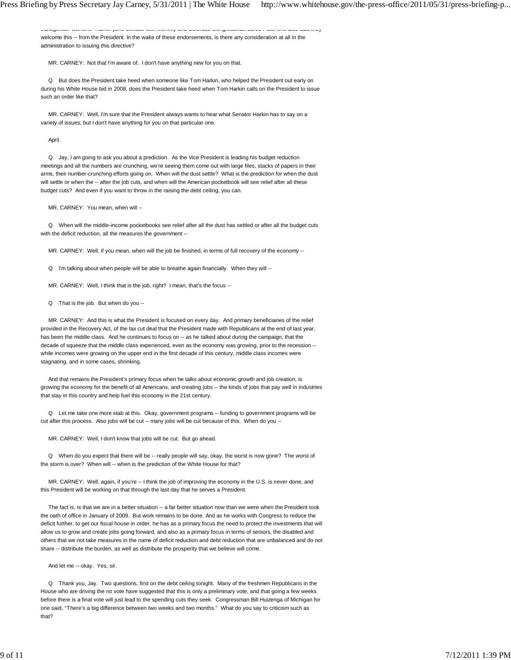transgender workers. Harkin joins Senator Jeff Merkley and Colorado Congressman Jared Polis who also said they welcome this -- from the President. In the wake of these endorsements, is there any consideration at all in the administration to issuing this directive?

MR. CARNEY: Not that I'm aware of. I don't have anything new for you on that.

 Q But does the President take heed when someone like Tom Harkin, who helped the President out early on during his White House bid in 2008, does the President take heed when Tom Harkin calls on the President to issue such an order like that?

 MR. CARNEY: Well, I'm sure that the President always wants to hear what Senator Harkin has to say on a variety of issues, but I don't have anything for you on that particular one.

#### April.

 Q Jay, I am going to ask you about a prediction. As the Vice President is leading his budget reduction meetings and all the numbers are crunching, we're seeing them come out with large files, stacks of papers in their arms, their number-crunching efforts going on. When will the dust settle? What is the prediction for when the dust will settle or when the -- after the job cuts, and when will the American pocketbook will see relief after all these budget cuts? And even if you want to throw in the raising the debt ceiling, you can.

MR. CARNEY: You mean, when will --

 Q When will the middle-income pocketbooks see relief after all the dust has settled or after all the budget cuts with the deficit reduction, all the measures the government --

MR. CARNEY: Well, if you mean, when will the job be finished, in terms of full recovery of the economy --

Q I'm talking about when people will be able to breathe again financially. When they will --

MR. CARNEY: Well, I think that is the job, right? I mean, that's the focus --

Q That is the job. But when do you --

 MR. CARNEY: And this is what the President is focused on every day. And primary beneficiaries of the relief provided in the Recovery Act, of the tax cut deal that the President made with Republicans at the end of last year, has been the middle class. And he continues to focus on -- as he talked about during the campaign, that the decade of squeeze that the middle class experienced, even as the economy was growing, prior to the recession - while incomes were growing on the upper end in the first decade of this century, middle class incomes were stagnating, and in some cases, shrinking.

 And that remains the President's primary focus when he talks about economic growth and job creation, is growing the economy for the benefit of all Americans, and creating jobs -- the kinds of jobs that pay well in industries that stay in this country and help fuel this economy in the 21st century.

 Q Let me take one more stab at this. Okay, government programs -- funding to government programs will be cut after this process. Also jobs will be cut -- many jobs will be cut because of this. When do you --

MR. CARNEY: Well, I don't know that jobs will be cut. But go ahead.

 Q When do you expect that there will be -- really people will say, okay, the worst is now gone? The worst of the storm is over? When will -- when is the prediction of the White House for that?

MR. CARNEY: Well, again, if you're -- I think the job of improving the economy in the U.S. is never done, and this President will be working on that through the last day that he serves a President.

The fact is, is that we are in a better situation -- a far better situation now than we were when the President took the oath of office in January of 2009. But work remains to be done. And as he works with Congress to reduce the deficit further, to get our fiscal house in order, he has as a primary focus the need to protect the investments that will allow us to grow and create jobs going forward, and also as a primary focus in terms of seniors, the disabled and others that we not take measures in the name of deficit reduction and debt reduction that are unbalanced and do not share -- distribute the burden, as well as distribute the prosperity that we believe will come.

And let me -- okay. Yes, sir.

 Q Thank you, Jay. Two questions, first on the debt ceiling tonight. Many of the freshmen Republicans in the House who are driving the no vote have suggested that this is only a preliminary vote, and that going a few weeks before there is a final vote will just lead to the spending cuts they seek. Congressman Bill Huizenga of Michigan for one said, "There's a big difference between two weeks and two months." What do you say to criticism such as that?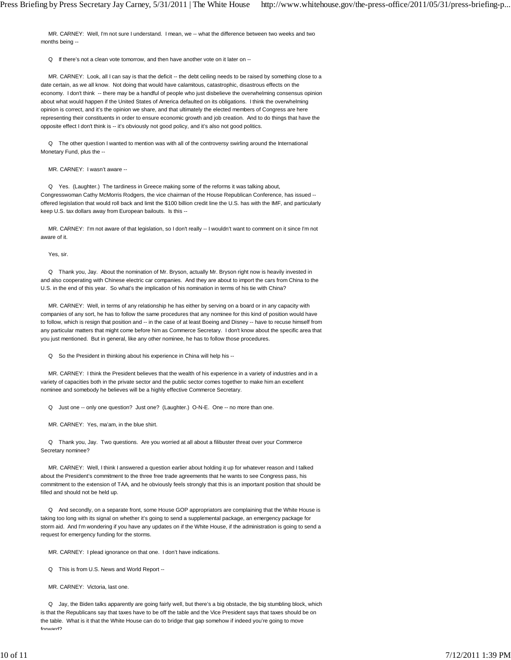MR. CARNEY: Well, I'm not sure I understand. I mean, we -- what the difference between two weeks and two months being --

Q If there's not a clean vote tomorrow, and then have another vote on it later on --

 MR. CARNEY: Look, all I can say is that the deficit -- the debt ceiling needs to be raised by something close to a date certain, as we all know. Not doing that would have calamitous, catastrophic, disastrous effects on the economy. I don't think -- there may be a handful of people who just disbelieve the overwhelming consensus opinion about what would happen if the United States of America defaulted on its obligations. I think the overwhelming opinion is correct, and it's the opinion we share, and that ultimately the elected members of Congress are here representing their constituents in order to ensure economic growth and job creation. And to do things that have the opposite effect I don't think is -- it's obviously not good policy, and it's also not good politics.

 Q The other question I wanted to mention was with all of the controversy swirling around the International Monetary Fund, plus the --

MR. CARNEY: I wasn't aware --

 Q Yes. (Laughter.) The tardiness in Greece making some of the reforms it was talking about, Congresswoman Cathy McMorris Rodgers, the vice chairman of the House Republican Conference, has issued - offered legislation that would roll back and limit the \$100 billion credit line the U.S. has with the IMF, and particularly keep U.S. tax dollars away from European bailouts. Is this --

 MR. CARNEY: I'm not aware of that legislation, so I don't really -- I wouldn't want to comment on it since I'm not aware of it.

Yes, sir.

 Q Thank you, Jay. About the nomination of Mr. Bryson, actually Mr. Bryson right now is heavily invested in and also cooperating with Chinese electric car companies. And they are about to import the cars from China to the U.S. in the end of this year. So what's the implication of his nomination in terms of his tie with China?

 MR. CARNEY: Well, in terms of any relationship he has either by serving on a board or in any capacity with companies of any sort, he has to follow the same procedures that any nominee for this kind of position would have to follow, which is resign that position and -- in the case of at least Boeing and Disney -- have to recuse himself from any particular matters that might come before him as Commerce Secretary. I don't know about the specific area that you just mentioned. But in general, like any other nominee, he has to follow those procedures.

Q So the President in thinking about his experience in China will help his --

 MR. CARNEY: I think the President believes that the wealth of his experience in a variety of industries and in a variety of capacities both in the private sector and the public sector comes together to make him an excellent nominee and somebody he believes will be a highly effective Commerce Secretary.

Q Just one -- only one question? Just one? (Laughter.) O-N-E. One -- no more than one.

MR. CARNEY: Yes, ma'am, in the blue shirt.

 Q Thank you, Jay. Two questions. Are you worried at all about a filibuster threat over your Commerce Secretary nominee?

 MR. CARNEY: Well, I think I answered a question earlier about holding it up for whatever reason and I talked about the President's commitment to the three free trade agreements that he wants to see Congress pass, his commitment to the extension of TAA, and he obviously feels strongly that this is an important position that should be filled and should not be held up.

 Q And secondly, on a separate front, some House GOP appropriators are complaining that the White House is taking too long with its signal on whether it's going to send a supplemental package, an emergency package for storm aid. And I'm wondering if you have any updates on if the White House, if the administration is going to send a request for emergency funding for the storms.

MR. CARNEY: I plead ignorance on that one. I don't have indications.

Q This is from U.S. News and World Report --

MR. CARNEY: Victoria, last one.

 Q Jay, the Biden talks apparently are going fairly well, but there's a big obstacle, the big stumbling block, which is that the Republicans say that taxes have to be off the table and the Vice President says that taxes should be on the table. What is it that the White House can do to bridge that gap somehow if indeed you're going to move forward?